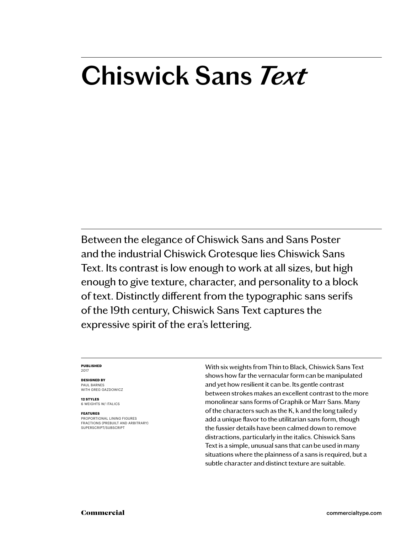# **Chiswick Sans** *Text*

Between the elegance of Chiswick Sans and Sans Poster and the industrial Chiswick Grotesque lies Chiswick Sans Text. Its contrast is low enough to work at all sizes, but high enough to give texture, character, and personality to a block of text. Distinctly different from the typographic sans serifs of the 19th century, Chiswick Sans Text captures the expressive spirit of the era's lettering.

#### **PUBLISHED** 2017

#### **DESIGNED BY** PAUL BARNES

WITH GREG GAZDOWICZ

**12 STYLES** 6 WEIGHTS W/ ITALICS

#### **FEATURES**

PROPORTIONAL LINING FIGURES FRACTIONS (PREBUILT AND ARBITRARY) SUPERSCRIPT/SUBSCRIPT

With six weights from Thin to Black, Chiswick Sans Text shows how far the vernacular form can be manipulated and yet how resilient it can be. Its gentle contrast between strokes makes an excellent contrast to the more monolinear sans forms of Graphik or Marr Sans. Many of the characters such as the K, k and the long tailed y add a unique flavor to the utilitarian sans form, though the fussier details have been calmed down to remove distractions, particularly in the italics. Chiswick Sans Text is a simple, unusual sans that can be used in many situations where the plainness of a sans is required, but a subtle character and distinct texture are suitable.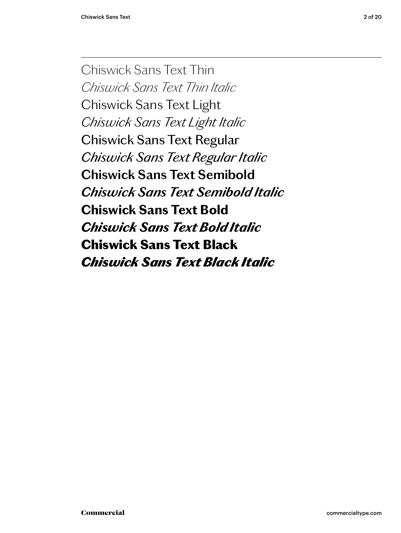Chiswick Sans Text Thin *Chiswick Sans Text Thin Italic* Chiswick Sans Text Light *Chiswick Sans Text Light Italic* Chiswick Sans Text Regular *Chiswick Sans Text Regular Italic* **Chiswick Sans Text Semibold** *Chiswick Sans Text Semibold Italic* **Chiswick Sans Text Bold** *Chiswick Sans Text Bold Italic* Chiswick Sans Text Black *Chiswick Sans Text Black Italic*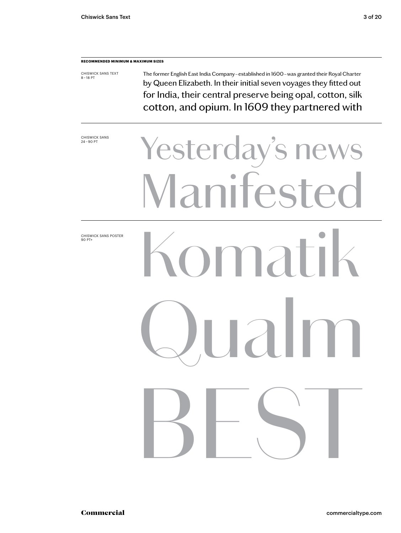## **RECOMMENDED MINIMUM & MAXIMUM SIZES**

CHISWICK SANS TEXT 8 – 18 PT The former English East India Company – established in 1600 – was granted their Royal Charter by Queen Elizabeth. In their initial seven voyages they fitted out for India, their central preserve being opal, cotton, silk cotton, and opium. In 1609 they partnered with

CHISWICK SANS<br>24-90 PT

# Yesterday's news anifeste Komatik

 $\mathsf{d} \mathsf{l}$ 

BEST

CHISWICK SANS POSTER 90 PT+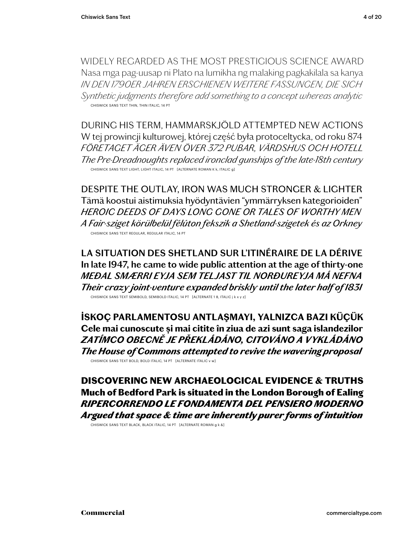WIDELY REGARDED AS THE MOST PRESTIGIOUS SCIENCE AWARD Nasa mga pag-uusap ni Plato na lumikha ng malaking pagkakilala sa kanya *IN DEN 1790ER JAHREN ERSCHIENEN WEITERE FASSUNGEN, DIE SICH Synthetic judgments therefore add something to a concept whereas analytic* CHISWICK SANS TEXT THIN, THIN ITALIC, 14 PT

DURING HIS TERM, HAMMARSKJÖLD ATTEMPTED NEW ACTIONS W tej prowincji kulturowej, której część była protoceltycka, od roku 874 *FÖRETAGET ÄGER ÄVEN ÖVER 372 PUBAR, VÄRDSHUS OCH HOTELL The Pre-Dreadnoughts replaced ironclad gunships of the late-18th century* CHISWICK SANS TEXT LIGHT, LIGHT ITALIC, 14 PT [ALTERNATE ROMAN K k, ITALIC g]

DESPITE THE OUTLAY, IRON WAS MUCH STRONGER & LIGHTER Tämä koostui aistimuksia hyödyntävien "ymmärryksen kategorioiden" *HEROIC DEEDS OF DAYS LONG GONE OR TALES OF WORTHY MEN A Fair-sziget körülbelül félúton fekszik a Shetland-szigetek és az Orkney* CHISWICK SANS TEXT REGULAR, REGULAR ITALIC, 14 PT

**LA SITUATION DES SHETLAND SUR L'ITINÉRAIRE DE LA DÉRIVE In late 1947, he came to wide public attention at the age of thirty-one** *MEÐAL SMÆRRI EYJA SEM TELJAST TIL NORÐUREYJA MÁ NEFNA Their crazy joint-venture expanded briskly until the later half of 1831* CHISWICK SANS TEXT SEMIBOLD, SEMIBOLD ITALIC, 14 PT [ALTERNATE 1 8, ITALIC j k x y z]

**İSKOÇ PARLAMENTOSU ANTLAŞMAYI, YALNIZCA BAZI KÜÇÜK Cele mai cunoscute și mai citite în ziua de azi sunt saga islandezilor** *ZATÍMCO OBECNĚ JE PŘEKLÁDÁNO, CITOVÁNO A VYKLÁDÁNO The House of Commons attempted to revive the wavering proposal* CHISWICK SANS TEXT BOLD, BOLD ITALIC, 14 PT [ALTERNATE ITALIC v w]

DISCOVERING NEW ARCHAEOLOGICAL EVIDENCE & TRUTHS Much of Bedford Park is situated in the London Borough of Ealing *RIPERCORRENDO LE FONDAMENTA DEL PENSIERO MODERNO Argued that space & time are inherently purer forms of intuition*

CHISWICK SANS TEXT BLACK, BLACK ITALIC, 14 PT [ALTERNATE ROMAN g k &]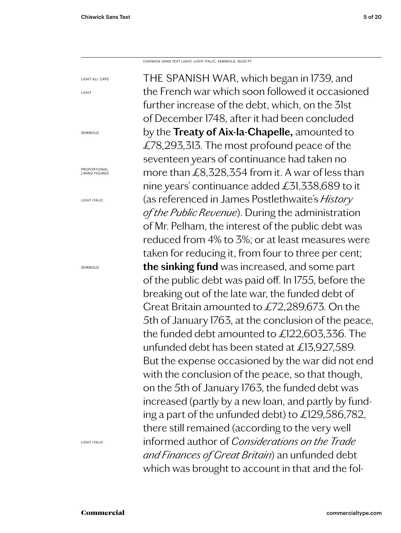LIGHT ALL CAPS

LIGHT

SEMIBOLD

PROPORTIONAL LINING FIGURES

LIGHT ITALIC

SEMIBOLD

CHISWICK SANS TEXT LIGHT, LIGHT ITALIC, SEMIBOLD, 16/20 PT

THE SPANISH WAR, which began in 1739, and the French war which soon followed it occasioned further increase of the debt, which, on the 31st of December 1748, after it had been concluded by the **Treaty of Aix-la-Chapelle,** amounted to £78,293,313. The most profound peace of the seventeen years of continuance had taken no more than £8,328,354 from it. A war of less than nine years' continuance added £31,338,689 to it (as referenced in James Postlethwaite's *History of the Public Revenue*). During the administration of Mr. Pelham, the interest of the public debt was reduced from 4% to 3%; or at least measures were taken for reducing it, from four to three per cent; **the sinking fund** was increased, and some part of the public debt was paid off. In 1755, before the breaking out of the late war, the funded debt of Great Britain amounted to £72,289,673. On the 5th of January 1763, at the conclusion of the peace, the funded debt amounted to £122,603,336. The unfunded debt has been stated at £13,927,589. But the expense occasioned by the war did not end with the conclusion of the peace, so that though, on the 5th of January 1763, the funded debt was increased (partly by a new loan, and partly by funding a part of the unfunded debt) to £129,586,782, there still remained (according to the very well informed author of *Considerations on the Trade and Finances of Great Britain*) an unfunded debt which was brought to account in that and the fol-

LIGHT ITALIC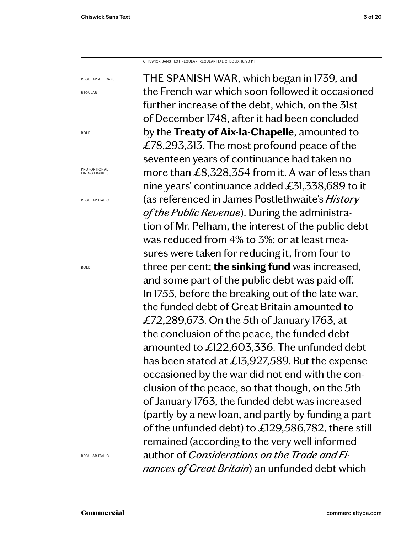REGULAR ALL CAPS

REGULAR

BOLD

PROPORTIONAL LINING FIGURES

REGULAR ITALIC

BOLD

CHISWICK SANS TEXT REGULAR, REGULAR ITALIC, BOLD, 16/20 PT

THE SPANISH WAR, which began in 1739, and the French war which soon followed it occasioned further increase of the debt, which, on the 31st of December 1748, after it had been concluded by the **Treaty of Aix-la-Chapelle**, amounted to £78,293,313. The most profound peace of the seventeen years of continuance had taken no more than £8,328,354 from it. A war of less than nine years' continuance added £31,338,689 to it (as referenced in James Postlethwaite's *History of the Public Revenue*). During the administration of Mr. Pelham, the interest of the public debt was reduced from 4% to 3%; or at least measures were taken for reducing it, from four to three per cent; **the sinking fund** was increased, and some part of the public debt was paid off. In 1755, before the breaking out of the late war, the funded debt of Great Britain amounted to £72,289,673. On the 5th of January 1763, at the conclusion of the peace, the funded debt amounted to £122,603,336. The unfunded debt has been stated at £13,927,589. But the expense occasioned by the war did not end with the conclusion of the peace, so that though, on the 5th of January 1763, the funded debt was increased (partly by a new loan, and partly by funding a part of the unfunded debt) to £129,586,782, there still remained (according to the very well informed author of *Considerations on the Trade and Finances of Great Britain*) an unfunded debt which

REGULAR ITALIC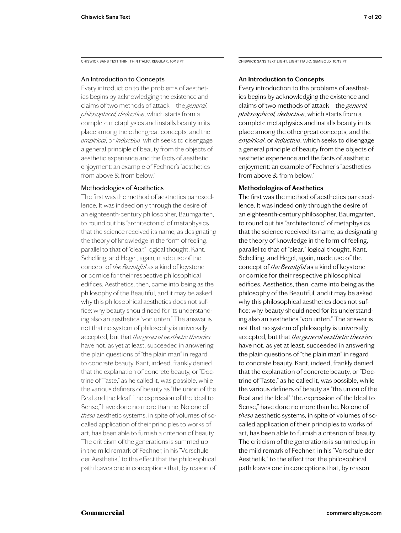CHISWICK SANS TEXT THIN, THIN ITALIC, REGULAR, 10/13 PT

# An Introduction to Concepts

Every introduction to the problems of aesthetics begins by acknowledging the existence and claims of two methods of attack—the *general, philosophical, deductive*, which starts from a complete metaphysics and installs beauty in its place among the other great concepts; and the *empirical*, or *inductive*, which seeks to disengage a general principle of beauty from the objects of aesthetic experience and the facts of aesthetic enjoyment: an example of Fechner's "aesthetics from above & from below."

# Methodologies of Aesthetics

The first was the method of aesthetics par excellence. It was indeed only through the desire of an eighteenth-century philosopher, Baumgarten, to round out his "architectonic" of metaphysics that the science received its name, as designating the theory of knowledge in the form of feeling, parallel to that of "clear," logical thought. Kant, Schelling, and Hegel, again, made use of the concept of *the Beautiful* as a kind of keystone or cornice for their respective philosophical edifices. Aesthetics, then, came into being as the philosophy of the Beautiful, and it may be asked why this philosophical aesthetics does not suffice; why beauty should need for its understanding also an aesthetics "von unten." The answer is not that no system of philosophy is universally accepted, but that *the general aesthetic theories*  have not, as yet at least, succeeded in answering the plain questions of "the plain man" in regard to concrete beauty. Kant, indeed, frankly denied that the explanation of concrete beauty, or "Doctrine of Taste," as he called it, was possible, while the various definers of beauty as "the union of the Real and the Ideal" "the expression of the Ideal to Sense," have done no more than he. No one of *these* aesthetic systems, in spite of volumes of socalled application of their principles to works of art, has been able to furnish a criterion of beauty. The criticism of the generations is summed up in the mild remark of Fechner, in his "Vorschule der Aesthetik," to the effect that the philosophical path leaves one in conceptions that, by reason of

CHISWICK SANS TEXT LIGHT, LIGHT ITALIC, SEMIBOLD, 10/13 PT

# **An Introduction to Concepts**

Every introduction to the problems of aesthetics begins by acknowledging the existence and claims of two methods of attack—the *general, philosophical, deductive*, which starts from a complete metaphysics and installs beauty in its place among the other great concepts; and the *empirical*, or *inductive*, which seeks to disengage a general principle of beauty from the objects of aesthetic experience and the facts of aesthetic enjoyment: an example of Fechner's "aesthetics from above & from below."

# **Methodologies of Aesthetics**

The first was the method of aesthetics par excellence. It was indeed only through the desire of an eighteenth-century philosopher, Baumgarten, to round out his "architectonic" of metaphysics that the science received its name, as designating the theory of knowledge in the form of feeling, parallel to that of "clear," logical thought. Kant, Schelling, and Hegel, again, made use of the concept of *the Beautiful* as a kind of keystone or cornice for their respective philosophical edifices. Aesthetics, then, came into being as the philosophy of the Beautiful, and it may be asked why this philosophical aesthetics does not suffice; why beauty should need for its understanding also an aesthetics "von unten." The answer is not that no system of philosophy is universally accepted, but that *the general aesthetic theories*  have not, as yet at least, succeeded in answering the plain questions of "the plain man" in regard to concrete beauty. Kant, indeed, frankly denied that the explanation of concrete beauty, or "Doctrine of Taste," as he called it, was possible, while the various definers of beauty as "the union of the Real and the Ideal" "the expression of the Ideal to Sense," have done no more than he. No one of *these* aesthetic systems, in spite of volumes of socalled application of their principles to works of art, has been able to furnish a criterion of beauty. The criticism of the generations is summed up in the mild remark of Fechner, in his "Vorschule der Aesthetik," to the effect that the philosophical path leaves one in conceptions that, by reason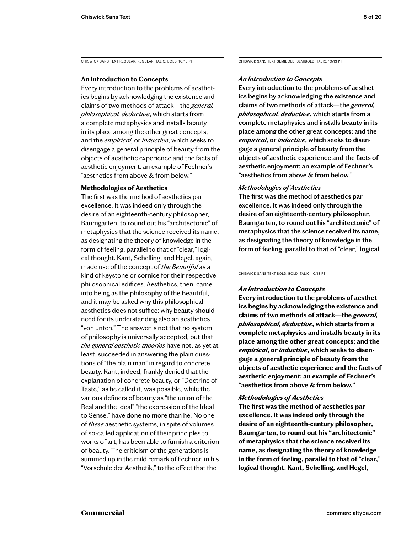CHISWICK SANS TEXT REGULAR, REGULAR ITALIC, BOLD, 10/13 PT

# **An Introduction to Concepts**

Every introduction to the problems of aesthetics begins by acknowledging the existence and claims of two methods of attack—the *general, philosophical, deductive*, which starts from a complete metaphysics and installs beauty in its place among the other great concepts; and the *empirical*, or *inductive*, which seeks to disengage a general principle of beauty from the objects of aesthetic experience and the facts of aesthetic enjoyment: an example of Fechner's "aesthetics from above & from below."

# **Methodologies of Aesthetics**

The first was the method of aesthetics par excellence. It was indeed only through the desire of an eighteenth-century philosopher, Baumgarten, to round out his "architectonic" of metaphysics that the science received its name, as designating the theory of knowledge in the form of feeling, parallel to that of "clear," logical thought. Kant, Schelling, and Hegel, again, made use of the concept of *the Beautiful* as a kind of keystone or cornice for their respective philosophical edifices. Aesthetics, then, came into being as the philosophy of the Beautiful, and it may be asked why this philosophical aesthetics does not suffice; why beauty should need for its understanding also an aesthetics "von unten." The answer is not that no system of philosophy is universally accepted, but that *the general aesthetic theories* have not, as yet at least, succeeded in answering the plain questions of "the plain man" in regard to concrete beauty. Kant, indeed, frankly denied that the explanation of concrete beauty, or "Doctrine of Taste," as he called it, was possible, while the various definers of beauty as "the union of the Real and the Ideal" "the expression of the Ideal to Sense," have done no more than he. No one of *these* aesthetic systems, in spite of volumes of so-called application of their principles to works of art, has been able to furnish a criterion of beauty. The criticism of the generations is summed up in the mild remark of Fechner, in his "Vorschule der Aesthetik," to the effect that the

CHISWICK SANS TEXT SEMIBOLD, SEMIBOLD ITALIC, 10/13 PT

# *An Introduction to Concepts*

**Every introduction to the problems of aesthetics begins by acknowledging the existence and claims of two methods of attack—the** *general, philosophical, deductive***, which starts from a complete metaphysics and installs beauty in its place among the other great concepts; and the**  *empirical***, or** *inductive***, which seeks to disengage a general principle of beauty from the objects of aesthetic experience and the facts of aesthetic enjoyment: an example of Fechner's "aesthetics from above & from below."** 

# *Methodologies of Aesthetics*

**The first was the method of aesthetics par excellence. It was indeed only through the desire of an eighteenth-century philosopher, Baumgarten, to round out his "architectonic" of metaphysics that the science received its name, as designating the theory of knowledge in the form of feeling, parallel to that of "clear," logical** 

CHISWICK SANS TEXT BOLD, BOLD ITALIC, 10/13 PT

# *An Introduction to Concepts*

**Every introduction to the problems of aesthetics begins by acknowledging the existence and claims of two methods of attack—the** *general, philosophical, deductive***, which starts from a complete metaphysics and installs beauty in its place among the other great concepts; and the**  *empirical***, or** *inductive***, which seeks to disengage a general principle of beauty from the objects of aesthetic experience and the facts of aesthetic enjoyment: an example of Fechner's "aesthetics from above & from below."** 

# *Methodologies of Aesthetics*

**The first was the method of aesthetics par excellence. It was indeed only through the desire of an eighteenth-century philosopher, Baumgarten, to round out his "architectonic" of metaphysics that the science received its name, as designating the theory of knowledge in the form of feeling, parallel to that of "clear," logical thought. Kant, Schelling, and Hegel,**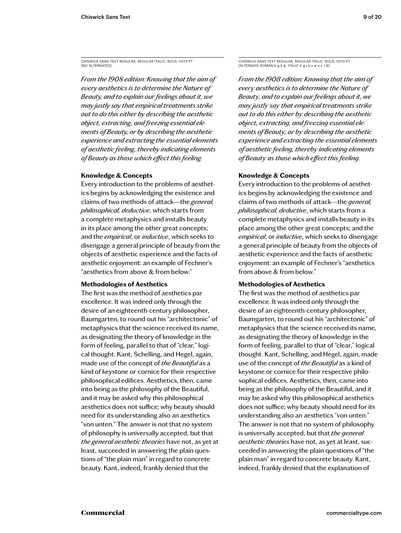CHISWICK SANS TEXT REGULAR, REGULAR ITALIC, BOLD, 10/13 PT [NO ALTERNATES]

*From the 1908 edition: Knowing that the aim of every aesthetics is to determine the Nature of Beauty, and to explain our feelings about it, we may justly say that empirical treatments strike out to do this either by describing the aesthetic object, extracting, and freezing essential elements of Beauty, or by describing the aesthetic experience and extracting the essential elements of aesthetic feeling, thereby indicating elements of Beauty as those which effect this feeling.*

# **Knowledge & Concepts**

Every introduction to the problems of aesthetics begins by acknowledging the existence and claims of two methods of attack—the *general, philosophical, deductive*, which starts from a complete metaphysics and installs beauty in its place among the other great concepts; and the *empirical*, or *inductive*, which seeks to disengage a general principle of beauty from the objects of aesthetic experience and the facts of aesthetic enjoyment: an example of Fechner's "aesthetics from above & from below."

# **Methodologies of Aesthetics**

The first was the method of aesthetics par excellence. It was indeed only through the desire of an eighteenth-century philosopher, Baumgarten, to round out his "architectonic" of metaphysics that the science received its name, as designating the theory of knowledge in the form of feeling, parallel to that of "clear," logical thought. Kant, Schelling, and Hegel, again, made use of the concept of *the Beautiful* as a kind of keystone or cornice for their respective philosophical edifices. Aesthetics, then, came into being as the philosophy of the Beautiful, and it may be asked why this philosophical aesthetics does not suffice; why beauty should need for its understanding also an aesthetics "von unten." The answer is not that no system of philosophy is universally accepted, but that *the general aesthetic theories* have not, as yet at least, succeeded in answering the plain questions of "the plain man" in regard to concrete beauty. Kant, indeed, frankly denied that the

CHISWICK SANS TEXT REGULAR, REGULAR ITALIC, BOLD, 10/13 PT [ALTERNATE ROMAN K g k &, ITALIC K g j k v w x y 1 8]

*From the 1908 edition: Knowing that the aim of every aesthetics is to determine the Nature of Beauty, and to explain our feelings about it, we may justly say that empirical treatments strike out to do this either by describing the aesthetic object, extracting, and freezing essential elements of Beauty, or by describing the aesthetic experience and extracting the essential elements of aesthetic feeling, thereby indicating elements of Beauty as those which effect this feeling.*

# **Knowledge & Concepts**

Every introduction to the problems of aesthetics begins by acknowledging the existence and claims of two methods of attack—the *general, philosophical, deductive*, which starts from a complete metaphysics and installs beauty in its place among the other great concepts; and the *empirical*, or *inductive*, which seeks to disengage a general principle of beauty from the objects of aesthetic experience and the facts of aesthetic enjoyment: an example of Fechner's "aesthetics from above & from below."

# **Methodologies of Aesthetics**

The first was the method of aesthetics par excellence. It was indeed only through the desire of an eighteenth-century philosopher, Baumgarten, to round out his "architectonic" of metaphysics that the science received its name, as designating the theory of knowledge in the form of feeling, parallel to that of "clear," logical thought. Kant, Schelling, and Hegel, again, made use of the concept of *the Beautiful* as a kind of keystone or cornice for their respective philosophical edifices. Aesthetics, then, came into being as the philosophy of the Beautiful, and it may be asked why this philosophical aesthetics does not suffice; why beauty should need for its understanding also an aesthetics "von unten." The answer is not that no system of philosophy is universally accepted, but that *the general aesthetic theories* have not, as yet at least, succeeded in answering the plain questions of "the plain man" in regard to concrete beauty. Kant, indeed, frankly denied that the explanation of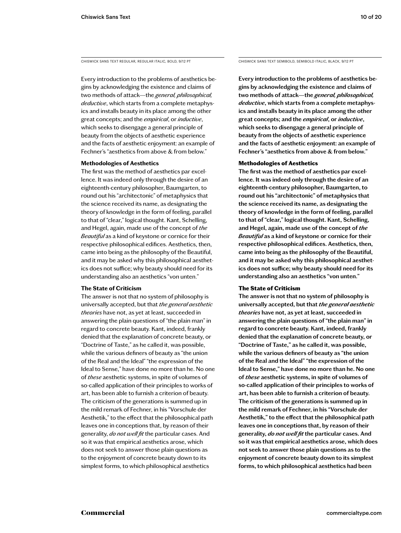Every introduction to the problems of aesthetics begins by acknowledging the existence and claims of two methods of attack—the *general, philosophical, deductive*, which starts from a complete metaphysics and installs beauty in its place among the other great concepts; and the *empirical*, or *inductive*, which seeks to disengage a general principle of beauty from the objects of aesthetic experience and the facts of aesthetic enjoyment: an example of Fechner's "aesthetics from above & from below."

# **Methodologies of Aesthetics**

The first was the method of aesthetics par excellence. It was indeed only through the desire of an eighteenth-century philosopher, Baumgarten, to round out his "architectonic" of metaphysics that the science received its name, as designating the theory of knowledge in the form of feeling, parallel to that of "clear," logical thought. Kant, Schelling, and Hegel, again, made use of the concept of *the Beautiful* as a kind of keystone or cornice for their respective philosophical edifices. Aesthetics, then, came into being as the philosophy of the Beautiful, and it may be asked why this philosophical aesthetics does not suffice; why beauty should need for its understanding also an aesthetics "von unten."

# **The State of Criticism**

The answer is not that no system of philosophy is universally accepted, but that *the general aesthetic theories* have not, as yet at least, succeeded in answering the plain questions of "the plain man" in regard to concrete beauty. Kant, indeed, frankly denied that the explanation of concrete beauty, or "Doctrine of Taste," as he called it, was possible, while the various definers of beauty as "the union of the Real and the Ideal" "the expression of the Ideal to Sense," have done no more than he. No one of *these* aesthetic systems, in spite of volumes of so-called application of their principles to works of art, has been able to furnish a criterion of beauty. The criticism of the generations is summed up in the mild remark of Fechner, in his "Vorschule der Aesthetik," to the effect that the philosophical path leaves one in conceptions that, by reason of their generality, *do not well fit* the particular cases. And so it was that empirical aesthetics arose, which does not seek to answer those plain questions as to the enjoyment of concrete beauty down to its simplest forms, to which philosophical aesthetics

CHISWICK SANS TEXT REGULAR, REGULAR ITALIC, BOLD, 9/12 PT CHISWICK SANS TEXT SEMIBOLD, SEMIBOLD ITALIC, BLACK, 9/12 PT

**Every introduction to the problems of aesthetics begins by acknowledging the existence and claims of two methods of attack—the** *general, philosophical, deductive***, which starts from a complete metaphysics and installs beauty in its place among the other great concepts; and the** *empirical***, or** *inductive***, which seeks to disengage a general principle of beauty from the objects of aesthetic experience and the facts of aesthetic enjoyment: an example of Fechner's "aesthetics from above & from below."** 

# Methodologies of Aesthetics

**The first was the method of aesthetics par excellence. It was indeed only through the desire of an eighteenth-century philosopher, Baumgarten, to round out his "architectonic" of metaphysics that the science received its name, as designating the theory of knowledge in the form of feeling, parallel to that of "clear," logical thought. Kant, Schelling, and Hegel, again, made use of the concept of** *the Beautiful* **as a kind of keystone or cornice for their respective philosophical edifices. Aesthetics, then, came into being as the philosophy of the Beautiful, and it may be asked why this philosophical aesthetics does not suffice; why beauty should need for its understanding also an aesthetics "von unten."** 

# The State of Criticism

**The answer is not that no system of philosophy is universally accepted, but that** *the general aesthetic theories* **have not, as yet at least, succeeded in answering the plain questions of "the plain man" in regard to concrete beauty. Kant, indeed, frankly denied that the explanation of concrete beauty, or "Doctrine of Taste," as he called it, was possible, while the various definers of beauty as "the union of the Real and the Ideal" "the expression of the Ideal to Sense," have done no more than he. No one of** *these* **aesthetic systems, in spite of volumes of so-called application of their principles to works of art, has been able to furnish a criterion of beauty. The criticism of the generations is summed up in the mild remark of Fechner, in his "Vorschule der Aesthetik," to the effect that the philosophical path leaves one in conceptions that, by reason of their generality,** *do not well fit* **the particular cases. And so it was that empirical aesthetics arose, which does not seek to answer those plain questions as to the enjoyment of concrete beauty down to its simplest forms, to which philosophical aesthetics had been**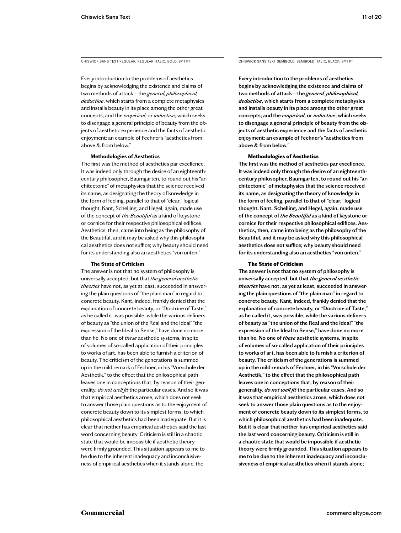Every introduction to the problems of aesthetics begins by acknowledging the existence and claims of two methods of attack—the *general, philosophical, deductive*, which starts from a complete metaphysics and installs beauty in its place among the other great concepts; and the *empirical*, or *inductive*, which seeks to disengage a general principle of beauty from the objects of aesthetic experience and the facts of aesthetic enjoyment: an example of Fechner's "aesthetics from above & from below."

#### **Methodologies of Aesthetics**

The first was the method of aesthetics par excellence. It was indeed only through the desire of an eighteenthcentury philosopher, Baumgarten, to round out his "architectonic" of metaphysics that the science received its name, as designating the theory of knowledge in the form of feeling, parallel to that of "clear," logical thought. Kant, Schelling, and Hegel, again, made use of the concept of *the Beautiful* as a kind of keystone or cornice for their respective philosophical edifices. Aesthetics, then, came into being as the philosophy of the Beautiful, and it may be asked why this philosophical aesthetics does not suffice; why beauty should need for its understanding also an aesthetics "von unten."

#### **The State of Criticism**

The answer is not that no system of philosophy is universally accepted, but that *the general aesthetic theories* have not, as yet at least, succeeded in answering the plain questions of "the plain man" in regard to concrete beauty. Kant, indeed, frankly denied that the explanation of concrete beauty, or "Doctrine of Taste," as he called it, was possible, while the various definers of beauty as "the union of the Real and the Ideal" "the expression of the Ideal to Sense," have done no more than he. No one of *these* aesthetic systems, in spite of volumes of so-called application of their principles to works of art, has been able to furnish a criterion of beauty. The criticism of the generations is summed up in the mild remark of Fechner, in his "Vorschule der Aesthetik," to the effect that the philosophical path leaves one in conceptions that, by reason of their generality, *do not well fit* the particular cases. And so it was that empirical aesthetics arose, which does not seek to answer those plain questions as to the enjoyment of concrete beauty down to its simplest forms, to which philosophical aesthetics had been inadequate. But it is clear that neither has empirical aesthetics said the last word concerning beauty. Criticism is still in a chaotic state that would be impossible if aesthetic theory were firmly grounded. This situation appears to me to be due to the inherent inadequacy and inconclusiveness of empirical aesthetics when it stands alone; the

CHISWICK SANS TEXT REGULAR, REGULAR ITALIC, BOLD, 8/11 PT CHISWICK SANS TEXT SEMIBOLD, SEMIBOLD ITALIC, BLACK, 8/11 PT

**Every introduction to the problems of aesthetics begins by acknowledging the existence and claims of two methods of attack—the** *general, philosophical, deductive***, which starts from a complete metaphysics and installs beauty in its place among the other great concepts; and the** *empirical***, or** *inductive***, which seeks to disengage a general principle of beauty from the objects of aesthetic experience and the facts of aesthetic enjoyment: an example of Fechner's "aesthetics from above & from below."** 

### Methodologies of Aesthetics

**The first was the method of aesthetics par excellence. It was indeed only through the desire of an eighteenthcentury philosopher, Baumgarten, to round out his "architectonic" of metaphysics that the science received its name, as designating the theory of knowledge in the form of feeling, parallel to that of "clear," logical thought. Kant, Schelling, and Hegel, again, made use of the concept of** *the Beautiful* **as a kind of keystone or cornice for their respective philosophical edifices. Aesthetics, then, came into being as the philosophy of the Beautiful, and it may be asked why this philosophical aesthetics does not suffice; why beauty should need for its understanding also an aesthetics "von unten."** 

#### The State of Criticism

**The answer is not that no system of philosophy is universally accepted, but that** *the general aesthetic theories* **have not, as yet at least, succeeded in answering the plain questions of "the plain man" in regard to concrete beauty. Kant, indeed, frankly denied that the explanation of concrete beauty, or "Doctrine of Taste," as he called it, was possible, while the various definers of beauty as "the union of the Real and the Ideal" "the expression of the Ideal to Sense," have done no more than he. No one of** *these* **aesthetic systems, in spite of volumes of so-called application of their principles to works of art, has been able to furnish a criterion of beauty. The criticism of the generations is summed up in the mild remark of Fechner, in his "Vorschule der Aesthetik," to the effect that the philosophical path leaves one in conceptions that, by reason of their generality,** *do not well fit* **the particular cases. And so it was that empirical aesthetics arose, which does not seek to answer those plain questions as to the enjoyment of concrete beauty down to its simplest forms, to which philosophical aesthetics had been inadequate. But it is clear that neither has empirical aesthetics said the last word concerning beauty. Criticism is still in a chaotic state that would be impossible if aesthetic theory were firmly grounded. This situation appears to me to be due to the inherent inadequacy and inconclusiveness of empirical aesthetics when it stands alone;**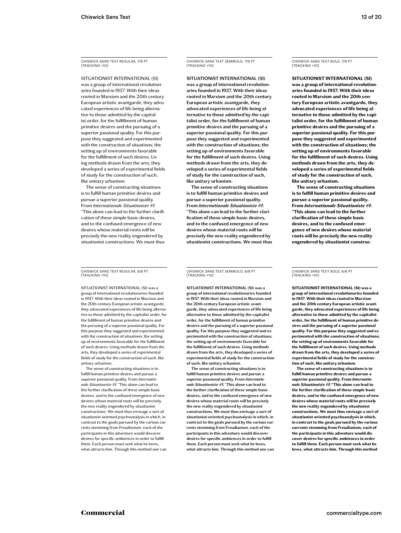CHISWICK SANS TEXT REGULAR, 7/9 PT [TRACKING +10]

SITUATIONIST INTERNATIONAL (SI) was a group of international revolutionaries founded in 1957. With their ideas rooted in Marxism and the 20th century European artistic avantgarde, they advocated experiences of life being alternative to those admitted by the capitalist order, for the fulfillment of human primitive desires and the pursuing of a superior passional quality. For this purpose they suggested and experimented with the construction of situations; the setting up of environments favorable for the fulfillment of such desires. Using methods drawn from the arts, they developed a series of experimental fields of study for the construction of such, like unitary urbanism.

The sense of constructing situations is to fulfill human primitive desires and pursue a superior passional quality. From *Internationale Situationiste #1*: "This alone can lead to the further clarification of these simple basic desires, and to the confused emergence of new desires whose material roots will be precisely the new reality engendered by situationist constructions. We must thus

CHISWICK SANS TEXT REGULAR, 6/8 PT [TRACKING +10]

SITUATIONIST INTERNATIONAL (SI) was a group of international revolutionaries founded in 1957. With their ideas rooted in Marxism and the 20th century European artistic avantgarde, they advocated experiences of life being alternative to those admitted by the capitalist order, for the fulfillment of human primitive desires and the pursuing of a superior passional quality. For this purpose they suggested and experimented with the construction of situations; the setting up of environments favorable for the fulfillment of such desires. Using methods drawn from the arts, they developed a series of experimental fields of study for the construction of such, like unitary urbanism.

The sense of constructing situations is to fulfill human primitive desires and pursue a superior passional quality. From *Internationale Situationiste #1*: "This alone can lead to the further clarification of these simple basic desires, and to the confused emergence of new desires whose material roots will be precisely the new reality engendered by situationist constructions. We must thus envisage a sort of situationist-oriented psychoanalysis in which, in contrast to the goals pursued by the various currents stemming from Freudianism, each of the participants in this adventure would discove desires for specific ambiences in order to fulfill them. Each person must seek what he loves, what attracts him. Through this method one can

CHISWICK SANS TEXT SEMIBOLD, 7/9 PT [TRACKING +10]

**SITUATIONIST INTERNATIONAL (SI)** 

**was a group of international revolutionaries founded in 1957. With their ideas rooted in Marxism and the 20th century European artistic avantgarde, they advocated experiences of life being alternative to those admitted by the capitalist order, for the fulfillment of human primitive desires and the pursuing of a superior passional quality. For this purpose they suggested and experimented with the construction of situations; the setting up of environments favorable for the fulfillment of such desires. Using methods drawn from the arts, they developed a series of experimental fields of study for the construction of such, like unitary urbanism.**

**The sense of constructing situations is to fulfill human primitive desires and pursue a superior passional quality. From** *Internationale Situationiste #1***: "This alone can lead to the further clarification of these simple basic desires, and to the confused emergence of new desires whose material roots will be precisely the new reality engendered by situationist constructions. We must thus** 

CHISWICK SANS TEXT SEMIBOLD, 6/8 PT [TRACKING +10]

**SITUATIONIST INTERNATIONAL (SI) was a group of international revolutionaries founded in 1957. With their ideas rooted in Marxism and the 20th century European artistic avantgarde, they advocated experiences of life being alternative to those admitted by the capitalist order, for the fulfillment of human primitive desires and the pursuing of a superior passional quality. For this purpose they suggested and experimented with the construction of situations; the setting up of environments favorable for the fulfillment of such desires. Using methods drawn from the arts, they developed a series of experimental fields of study for the construction of such, like unitary urbanism.**

**The sense of constructing situations is to fulfill human primitive desires and pursue a superior passional quality. From** *Internationale Situationiste #1***: "This alone can lead to the further clarification of these simple basic desires, and to the confused emergence of new desires whose material roots will be precisely the new reality engendered by situationist constructions. We must thus envisage a sort of situationist-oriented psychoanalysis in which, in contrast to the goals pursued by the various currents stemming from Freudianism, each of the participants in this adventure would discover desires for specific ambiences in order to fulfill them. Each person must seek what he loves, what attracts him. Through this method one can** 

CHISWICK SANS TEXT BOLD, 7/9 PT [TRACKING +10]

**SITUATIONIST INTERNATIONAL (SI) was a group of international revolutionaries founded in 1957. With their ideas rooted in Marxism and the 20th century European artistic avantgarde, they advocated experiences of life being alternative to those admitted by the capitalist order, for the fulfillment of human primitive desires and the pursuing of a superior passional quality. For this purpose they suggested and experimented with the construction of situations; the setting up of environments favorable for the fulfillment of such desires. Using methods drawn from the arts, they developed a series of experimental fields of study for the construction of such, like unitary urbanism.**

**The sense of constructing situations is to fulfill human primitive desires and pursue a superior passional quality. From** *Internationale Situationiste #1***: "This alone can lead to the further clarification of these simple basic desires, and to the confused emergence of new desires whose material roots will be precisely the new reality engendered by situationist construc-**

CHISWICK SANS TEXT BOLD, 6/8 PT [TRACKING +10]

**SITUATIONIST INTERNATIONAL (SI) was a group of international revolutionaries founded in 1957. With their ideas rooted in Marxism and the 20th century European artistic avantgarde, they advocated experiences of life being alternative to those admitted by the capitalist order, for the fulfillment of human primitive desires and the pursuing of a superior passional quality. For this purpose they suggested and experimented with the construction of situations; the setting up of environments favorable for the fulfillment of such desires. Using methods drawn from the arts, they developed a series of experimental fields of study for the construction of such, like unitary urbanism.**

**The sense of constructing situations is to fulfill human primitive desires and pursue a superior passional quality. From** *Internationale Situationiste #1***: "This alone can lead to the further clarification of these simple basic desires, and to the confused emergence of new desires whose material roots will be precisely the new reality engendered by situationist constructions. We must thus envisage a sort of situationist-oriented psychoanalysis in which, in contrast to the goals pursued by the various currents stemming from Freudianism, each of the participants in this adventure would discover desires for specific ambiences in order to fulfill them. Each person must seek what he loves, what attracts him. Through this method**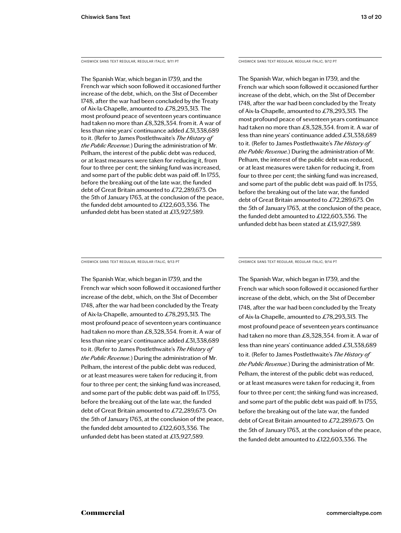CHISWICK SANS TEXT REGULAR, REGULAR ITALIC, 9/11 PT

The Spanish War, which began in 1739, and the French war which soon followed it occasioned further increase of the debt, which, on the 31st of December 1748, after the war had been concluded by the Treaty of Aix-la-Chapelle, amounted to £78,293,313. The most profound peace of seventeen years continuance had taken no more than £8,328,354. from it. A war of less than nine years' continuance added £31,338,689 to it. (Refer to James Postlethwaite's *The History of the Public Revenue.*) During the administration of Mr. Pelham, the interest of the public debt was reduced, or at least measures were taken for reducing it, from four to three per cent; the sinking fund was increased, and some part of the public debt was paid off. In 1755, before the breaking out of the late war, the funded debt of Great Britain amounted to £72,289,673. On the 5th of January 1763, at the conclusion of the peace, the funded debt amounted to £122,603,336. The unfunded debt has been stated at £13,927,589.

CHISWICK SANS TEXT REGULAR, REGULAR ITALIC, 9/12 PT

The Spanish War, which began in 1739, and the French war which soon followed it occasioned further increase of the debt, which, on the 31st of December 1748, after the war had been concluded by the Treaty of Aix-la-Chapelle, amounted to £78,293,313. The most profound peace of seventeen years continuance had taken no more than £8,328,354. from it. A war of less than nine years' continuance added £31,338,689 to it. (Refer to James Postlethwaite's *The History of the Public Revenue.*) During the administration of Mr. Pelham, the interest of the public debt was reduced, or at least measures were taken for reducing it, from four to three per cent; the sinking fund was increased, and some part of the public debt was paid off. In 1755, before the breaking out of the late war, the funded debt of Great Britain amounted to £72,289,673. On the 5th of January 1763, at the conclusion of the peace, the funded debt amounted to £122,603,336. The unfunded debt has been stated at £13,927,589.

CHISWICK SANS TEXT REGULAR, REGULAR ITALIC, 9/13 PT

The Spanish War, which began in 1739, and the French war which soon followed it occasioned further increase of the debt, which, on the 31st of December 1748, after the war had been concluded by the Treaty of Aix-la-Chapelle, amounted to £78,293,313. The most profound peace of seventeen years continuance had taken no more than £8,328,354. from it. A war of less than nine years' continuance added £31,338,689 to it. (Refer to James Postlethwaite's *The History of the Public Revenue.*) During the administration of Mr. Pelham, the interest of the public debt was reduced, or at least measures were taken for reducing it, from four to three per cent; the sinking fund was increased, and some part of the public debt was paid off. In 1755, before the breaking out of the late war, the funded debt of Great Britain amounted to £72,289,673. On the 5th of January 1763, at the conclusion of the peace, the funded debt amounted to £122,603,336. The unfunded debt has been stated at £13,927,589.

CHISWICK SANS TEXT REGULAR, REGULAR ITALIC, 9/14 PT

The Spanish War, which began in 1739, and the French war which soon followed it occasioned further increase of the debt, which, on the 31st of December 1748, after the war had been concluded by the Treaty of Aix-la-Chapelle, amounted to £78,293,313. The most profound peace of seventeen years continuance had taken no more than £8,328,354. from it. A war of less than nine years' continuance added £31,338,689 to it. (Refer to James Postlethwaite's *The History of the Public Revenue.*) During the administration of Mr. Pelham, the interest of the public debt was reduced, or at least measures were taken for reducing it, from four to three per cent; the sinking fund was increased, and some part of the public debt was paid off. In 1755, before the breaking out of the late war, the funded debt of Great Britain amounted to £72,289,673. On the 5th of January 1763, at the conclusion of the peace, the funded debt amounted to £122,603,336. The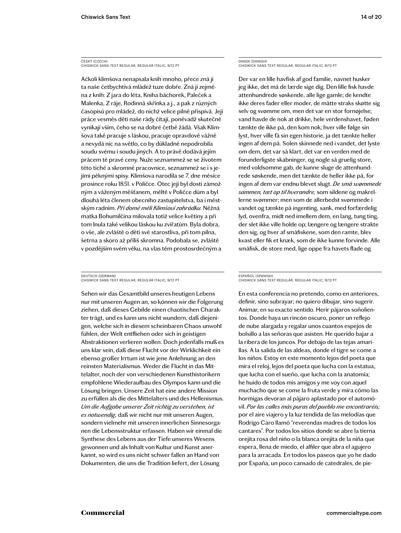ČESKÝ (CZECH) CHISWICK SANS TEXT REGULAR, REGULAR ITALIC, 9/12 PT

Ačkoli klimšova nenapsala knih mnoho, přece zná ji ta naše četbychtivá mládež tuze dobře. Zná ji zejména z knih: Z jara do léta, Kniha báchorek, Paleček a Malenka, Z ráje, Rodinná skřínka a j., a pak z různých časopisů pro mládež, do nichž velice pilně přispívá. Její práce vesměs děti naše rády čítají, poněvadž skutečně vynikají vším, čeho se na dobré četbě žádá. Však Klimšova také pracuje s láskou, pracuje opravdově vážně a nevydá nic na světlo, co by důkladně nepodrobila soudu svému i soudu jiných. A to právě dodává jejím prácem té pravé ceny. Nuže seznammež se se životem této tiché a skromné pracovnice, seznammež se i s jejími pěknými spisy. Klimšova narodila se 7. dne měsíce prosince roku 1851. v Poličce. Otec její byl dosti zámožným a váženým měšťanem, měltě v Poličce dům a byl dlouhá léta členem obecního zastupitelstva, ba i městským radním. *Při domě měli Klimšovi zahrádku.* Něžná matka Bohumilčina milovala totiž velice květiny a při tom lnula také velikou láskou ku zvířatům. Byla dobra, o vše, ale zvláště o děti své starostliva, při tom pilna, šetrna a skoro až příliš skromna. Podobala se, zvláště v pozdějším svém věku, na vlas těm prostosrdečným a

#### DEUTSCH (GERMAN) CHISWICK SANS TEXT REGULAR, REGULAR ITALIC, 9/12 PT

Sehen wir das Gesamtbild unseres heutigen Lebens nur mit unseren Augen an, so können wir die Folgerung ziehen, daß dieses Gebilde einen chaotischen Charakter trägt, und es kann uns nicht wundern, daß diejenigen, welche sich in diesem scheinbaren Chaos unwohl fühlen, der Welt entfliehen oder sich in geistigen Abstraktionen verlieren wollen. Doch jedenfalls muß es uns klar sein, daß diese Flucht vor der Wirklichkeit ein ebenso großer Irrtum ist wie jene Anlehnung an den reinsten Materialismus. Weder die Flucht in das Mittelalter, noch der von verschiedenen Kunsthistorikern empfohlene Wiederaufbau des Olympos kann und die Lösung bringen. Unsere Zeit hat eine andere Mission zu erfüllen als die des Mittelalters und des Hellenismus. *Um die Aufgabe unserer Zeit richtig zu verstehen, ist es notwendig,* daß wir nicht nur mit unseren Augen, sondern vielmehr mit unseren innerlichen Sinnesorganen die Lebensstruktur erfassen. Haben wir einmal die Synthese des Lebens aus der Tiefe unseres Wesens gewonnen und als Inhalt von Kultur und Kunst anerkannt, so wird es uns nicht schwer fallen an Hand von Dokumenten, die uns die Tradition liefert, der Lösung

# DANSK (DANISH) CHISWICK SANS TEXT REGULAR, REGULAR ITALIC, 9/12 PT

Der var en lille havfisk af god familie, navnet husker jeg ikke, det må de lærde sige dig. Den lille fisk havde attenhundrede søskende, alle lige gamle; de kendte ikke deres fader eller moder, de måtte straks skøtte sig selv og svømme om, men det var en stor fornøjelse; vand havde de nok at drikke, hele verdenshavet, føden tænkte de ikke på, den kom nok; hver ville følge sin lyst, hver ville få sin egen historie, ja det tænkte heller ingen af dem på. Solen skinnede ned i vandet, det lyste om dem, det var så klart, det var en verden med de forunderligste skabninger, og nogle så gruelig store, med voldsomme gab, de kunne sluge de attenhundrede søskende, men det tænkte de heller ikke på, for ingen af dem var endnu blevet slugt. *De små svømmede sammen, tæt op til hverandre,* som sildene og makrellerne svømmer; men som de allerbedst svømmede i vandet og tænkte på ingenting, sank, med forfærdelig lyd, ovenfra, midt ned imellem dem, en lang, tung ting, der slet ikke ville holde op; længere og længere strakte den sig, og hver af småfiskene, som den ramte, blev kvast eller fik et knæk, som de ikke kunne forvinde. Alle småfisk, de store med, lige oppe fra havets flade og

#### ESPAÑOL (SPANISH) CHISWICK SANS TEXT REGULAR, REGULAR ITALIC, 9/12 PT

En esta conferencia no pretendo, como en anteriores, definir, sino subrayar; no quiero dibujar, sino sugerir. Animar, en su exacto sentido. Herir pájaros soñolientos. Donde haya un rincón oscuro, poner un reflejo de nube alargada y regalar unos cuantos espejos de bolsillo a las señoras que asisten. He querido bajar a la ribera de los juncos. Por debajo de las tejas amarillas. A la salida de las aldeas, donde el tigre se come a los niños. Estoy en este momento lejos del poeta que mira el reloj, lejos del poeta que lucha con la estatua, que lucha con el sueño, que lucha con la anatomía; he huido de todos mis amigos y me voy con aquel muchacho que se come la fruta verde y mira cómo las hormigas devoran al pájaro aplastado por el automóvil. *Por las calles más puras del pueblo me encontraréis;* por el aire viajero y la luz tendida de las melodías que Rodrigo Caro llamó "reverendas madres de todos los cantares". Por todos los sitios donde se abre la tierna orejita rosa del niño o la blanca orejita de la niña que espera, llena de miedo, el alfiler que abra el agujero para la arracada. En todos los paseos que yo he dado por España, un poco cansado de catedrales, de pie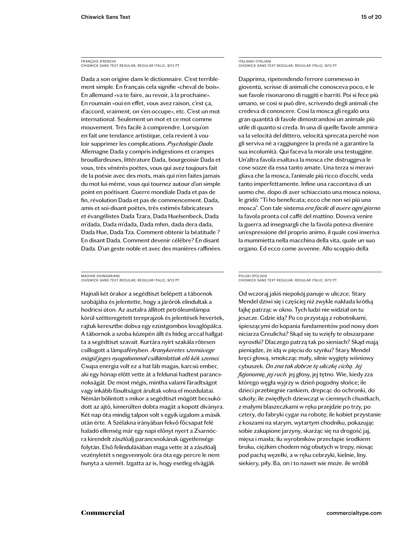FRANÇAIS (FRENCH) CHISWICK SANS TEXT REGULAR, REGULAR ITALIC, 9/12 PT

Dada a son origine dans le dictionnaire. C'est terriblement simple. En français cela signifie «cheval de bois». En allemand «va te faire, au revoir, à la prochaine». En roumain «oui en effet, vous avez raison, c'est ça, d'accord, vraiment, on s'en occupe», etc. C'est un mot international. Seulement un mot et ce mot comme mouvement. Très facile à comprendre. Lorsqu'on en fait une tendance artistique, cela revient à vouloir supprimer les complications. *Psychologie Dada.* Allemagne Dada y compris indigestions et crampes brouillardeuses, littérature Dada, bourgeoisie Dada et vous, très vénérés poètes, vous qui avez toujours fait de la poésie avec des mots, mais qui n'en faites jamais du mot lui-même, vous qui tournez autour d'un simple point en poétisant. Guerre mondiale Dada et pas de fin, révolution Dada et pas de commencement. Dada, amis et soi-disant poètes, très estimés fabricateurs et évangélistes Dada Tzara, Dada Huelsenbeck, Dada m'dada, Dada m'dada, Dada mhm, dada dera dada, Dada Hue, Dada Tza. Comment obtenir la béatitude ? En disant Dada. Comment devenir célèbre? En disant Dada. D'un geste noble et avec des manières raffinées.

MAGYAR (HUNGARIAN) CHISWICK SANS TEXT REGULAR, REGULAR ITALIC, 9/12 PT

Hajnali két órakor a segédtiszt belépett a tábornok szobájába és jelentette, hogy a járőrök elindultak a hodricsi úton. Az asztalra állított petróleumlámpa körül szétteregetett tereprajzok és jelentések hevertek, rajtuk keresztbe dobva egy ezüstgombos lovaglópálca. A tábornok a szoba közepén állt és hideg arccal hallgatta a segédtiszt szavait. Kurtára nyírt szakála rőtesen csillogott a lámpafényben. *Aranykeretes szemüvege mögül jeges nyugalommal csillámlottak elő kék szemei.* Csupa energia volt ez a hat láb magas, karcsú ember, aki egy hónap előtt vette át a feldunai hadtest parancsnokságát. De most mégis, mintha valami fáradtságot vagy inkább fásultságot árultak volna el mozdulatai. Némán bólintott s mikor a segédtiszt mögött becsukódott az ajtó, kimerülten dobta magát a kopott díványra. Két nap óta mindig talpon volt s egyik izgalom a másik után érte. A Szélakna irányában fekvő főcsapat felé haladó ellenség már egy napi előnyt nyert a Zsarnócra kirendelt zászlóalj parancsnokának ügyetlensége folytán. Első felindulásában maga vette át a zászlóalj vezényletét s negyvennyolc óra óta egy percre le nem hunyta a szemét. Izgatta az is, hogy esetleg elvágják

ITALIANO (ITALIAN) CHISWICK SANS TEXT REGULAR, REGULAR ITALIC, 9/12 PT

Dapprima, ripetendendo l'errore commesso in gioventù, scrisse di animali che conosceva poco, e le sue favole risonarono di ruggiti e barriti. Poi si fece più umano, se così si può dire, scrivendo degli animali che credeva di conoscere. Così la mosca gli regalò una gran quantità di favole dimostrandosi un animale più utile di quanto si creda. In una di quelle favole ammirava la velocità del dittero, velocità sprecata perchè non gli serviva nè a raggiungere la preda nè a garantire la sua incolumità. Qui faceva la morale una testuggine. Un'altra favola esaltava la mosca che distruggeva le cose sozze da essa tanto amate. Una terza si meravigliava che la mosca, l'animale più ricco d'occhi, veda tanto imperfettamente. Infine una raccontava di un uomo che, dopo di aver schiacciato una mosca noiosa, le gridò: "Ti ho beneficata; ecco che non sei più una mosca". Con tale sistema *era facile di avere ogni giorno* la favola pronta col caffè del mattino. Doveva venire la guerra ad insegnargli che la favola poteva divenire un'espressione del proprio animo, il quale così inseriva la mummietta nella macchina della vita, quale un suo organo. Ed ecco come avvenne. Allo scoppio della

#### POLSKI (POLISH) CHISWICK SANS TEXT REGULAR, REGULAR ITALIC, 9/12 PT

Od wczoraj jakiś niepokój panuje w uliczce. Stary Mendel dziwi się i częściej niż zwykle nakłada krótką łajkę patrząc w okno. Tych ludzi nie widział on tu jeszcze. Gdzie idą? Po co przystają z robotnikami, śpieszącymi do kopania fundamentów pod nowy dom niciarza Greulicha? Skąd się tu wzięły te obszarpane wyrostki? Dlaczego patrzą tak po sieniach? Skąd mają pieniądze, że idą w pięciu do szynku? Stary Mendel kręci głową, smokcząc mały, silnie wygięty wiśniowy cybuszek. *On zna tak dobrze tę uliczkę cichą. Jej fizjonomię, jej ruch.* jej głosy, jej tętno. Wie, kiedy zza którego węgła wyjrzy w dzień pogodny słońce; ile dzieci przebiegnie rankiem, drepcąc do ochronki, do szkoły; ile zwiędłych dziewcząt w ciemnych chustkach, z małymi blaszeczkami w ręku przejdzie po trzy, po cztery, do fabryki cygar na robotę; ile kobiet przystanie z koszami na starym, wytartym chodniku, pokazując sobie zakupione jarzyny, skarżąc się na drogość jaj, mięsa i masła; ilu wyrobników przecłapie środkiem bruku, ciężkim chodem nóg obutych w trepy, niosąc pod pachą węzełki, a w ręku cebrzyki, kielnie, liny. siekiery, piły. Ba, on i to nawet wie może. ile wróbli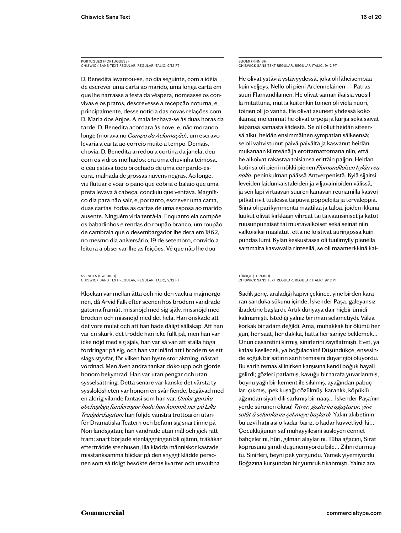# PORTUGUÊS (PORTUGUESE) CHISWICK SANS TEXT REGULAR, REGULAR ITALIC, 9/12 PT

D. Benedita levantou-se, no dia seguinte, com a idéia de escrever uma carta ao marido, uma longa carta em que lhe narrasse a festa da véspera, nomeasse os convivas e os pratos, descrevesse a recepção noturna, e, principalmente, desse notícia das novas relações com D. Maria dos Anjos. A mala fechava-se às duas horas da tarde, D. Benedita acordara às nove, e, não morando longe (morava no *Campo da Aclamação*), um escravo levaria a carta ao correio muito a tempo. Demais, chovia; D. Benedita arredou a cortina da janela, deu com os vidros molhados; era uma chuvinha teimosa, o céu estava todo brochado de uma cor pardo-escura, malhada de grossas nuvens negras. Ao longe, viu flutuar e voar o pano que cobria o balaio que uma preta levava à cabeça: concluiu que ventava. Magnífico dia para não sair, e, portanto, escrever uma carta, duas cartas, todas as cartas de uma esposa ao marido ausente. Ninguém viria tentá-la. Enquanto ela compõe os babadinhos e rendas do roupão branco, um roupão de cambraia que o desembargador lhe dera em 1862, no mesmo dia aniversário, 19 de setembro, convido a leitora a observar-lhe as feições. Vê que não lhe dou

#### SVENSKA (SWEDISH) CHISWICK SANS TEXT REGULAR, REGULAR ITALIC, 9/12 PT

Klockan var mellan åtta och nio den vackra majmorgonen, då Arvid Falk efter scenen hos brodern vandrade gatorna framåt, missnöjd med sig själv, missnöjd med brodern och missnöjd med det hela. Han önskade att det vore mulet och att han hade dåligt sällskap. Att han var en skurk, det trodde han icke fullt på, men han var icke nöjd med sig själv, han var så van att ställa höga fordringar på sig, och han var inlärd att i brodern se ett slags styvfar, för vilken han hyste stor aktning, nästan vördnad. Men även andra tankar döko upp och gjorde honom bekymrad. Han var utan pengar och utan sysselsättning. Detta senare var kanske det värsta ty sysslolösheten var honom en svår fiende, begåvad med en aldrig vilande fantasi som han var. *Under ganska obehagliga funderingar hade han kommit ner på Lilla Trädgårdsgatan;* han följde vänstra trottoaren utanför Dramatiska Teatern och befann sig snart inne på Norrlandsgatan; han vandrade utan mål och gick rätt fram; snart började stenläggningen bli ojämn, träkåkar efterträdde stenhusen, illa klädda människor kastade misstänksamma blickar på den snyggt klädde personen som så tidigt besökte deras kvarter och utsvultna

# SUOMI (FINNISH) CHISWICK SANS TEXT REGULAR, REGULAR ITALIC, 9/12 PT

He olivat ystäviä ystävyydessä, joka oli läheisempää kuin veljeys. Nello oli pieni Ardennelainen — Patras suuri Flamandilainen. He olivat saman ikäisiä vuosilla mitattuna, mutta kuitenkin toinen oli vielä nuori, toinen oli jo vanha. He olivat asuneet yhdessä koko ikänsä; molemmat he olivat orpoja ja kurjia sekä saivat leipänsä samasta kädestä. Se oli ollut heidän siteensä alku, heidän ensimmäinen sympatian säikeensä; se oli vahvistunut päivä päivältä ja kasvanut heidän mukanaan kiinteänä ja erottamattomana niin, että he alkoivat rakastaa toisiansa erittäin paljon. Heidän kotinsa oli pieni mökki pienen *Flamandilaisen kylän reunalla*, peninkulman päässä Antverpenistä. Kylä sijaitsi leveiden laidunkaistaleiden ja viljavainioiden välissä, ja sen läpi virtaavan suuren kanavan reunamilla kasvoi pitkät rivit tuulessa taipuvia poppeleita ja tervaleppiä. Siinä oli parikymmentä maatilaa ja taloa, joiden ikkunaluukut olivat kirkkaan vihreät tai taivaansiniset ja katot ruusunpunaiset tai mustavalkoiset sekä seinät niin valkoisiksi maalatut, että ne loistivat auringossa kuin puhdas lumi. Kylän keskustassa oli tuulimylly pienellä sammalta kasvavalla rinteellä, se oli maamerkkinä kai-

#### TÜRKÇE (TURKISH) CHISWICK SANS TEXT REGULAR, REGULAR ITALIC, 9/12 PT

Sadık genç, araladığı kapıyı çekince, yine birden kararan sanduka sükunu içinde, İskender Paşa, galeyansız ibadetine başlardı. Artık dünyaya dair hiçbir ümidi kalmamıştı. İstediği yalnız bir iman selametiydi. Vâkıa korkak bir adam değildi. Ama, muhakkak bir ölümü her gün, her saat, her dakika, hatta her saniye beklemek… Onun cesaretini kırmış, sinirlerini zayıflatmıştı. Evet, ya kafası kesilecek, ya boğulacaktı! Düşündükçe, ensesinde soğuk bir satırın sarih temasını duyar gibi oluyordu. Bu sarih temas silinirken karşısına kendi boğuk hayali gelirdi; gözleri patlamış, kavuğu bir tarafa yuvarlanmış, boynu yağlı bir kement ile sıkılmış, ayağından pabuçları çıkmış, ipek kuşağı çözülmüş, karanlık, köpüklü ağzından siyah dili sarkmış bir naaş… İskender Paşa'nın yerde sürünen ölüsü! *Titrer, gözlerini oğuşturur, yine salât-ü selamlarını çekmeye başlardı.* Yakın akıbetinin bu uzvî hatırası o kadar bariz, o kadar kuvvetliydi ki… Çocukluğunun saf muhayyilesini süsleyen cennet bahçelerini, hûri, gılman alaylarını, Tûba ağacını, Sırat köprüsünü şimdi düşünemiyordu bile… Zihni durmuştu. Sinirleri, beyni pek yorgundu. Yemek yiyemiyordu. Boğazına kurşundan bir yumruk tıkanmıştı. Yalnız ara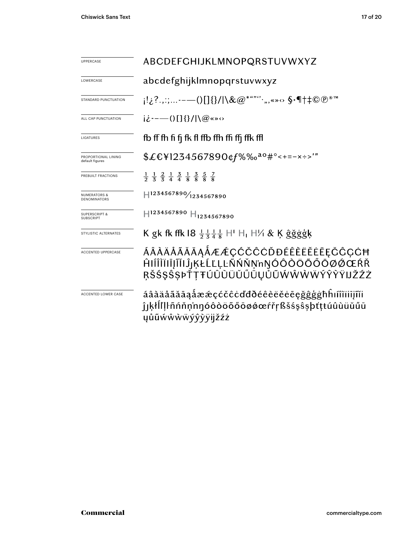| <b>UPPERCASE</b>                               | ABCDEFGHIJKLMNOPQRSTUVWXYZ                                                                                                    |  |  |  |  |
|------------------------------------------------|-------------------------------------------------------------------------------------------------------------------------------|--|--|--|--|
| LOWERCASE                                      | abcdefghijklmnopqrstuvwxyz                                                                                                    |  |  |  |  |
| STANDARD PUNCTUATION                           | !¿?.,:;-—()[]{}/ \&@*""'` <sub>`</sub> "«» <sub>'</sub> >> \$∙¶†‡©®™                                                          |  |  |  |  |
| ALL CAP PUNCTUATION                            | $i\dot{\ell}$ ---- () [ ] { } / $\log$ ( $\infty$ )                                                                           |  |  |  |  |
| LIGATURES                                      | fb ff fh fi fj fk fl ffb ffh ffi ffj ffk ffl                                                                                  |  |  |  |  |
| PROPORTIONAL LINING<br>default figures         | $$£EY1234567890$ ¢f%‰ <sup>ao</sup> #°<+=-x÷>'"                                                                               |  |  |  |  |
| PREBUILT FRACTIONS                             | $\frac{1}{2}$ $\frac{1}{3}$ $\frac{2}{3}$ $\frac{1}{4}$ $\frac{3}{4}$ $\frac{1}{8}$ $\frac{3}{8}$ $\frac{5}{8}$ $\frac{7}{8}$ |  |  |  |  |
| <b>NUMERATORS &amp;</b><br><b>DENOMINATORS</b> | $H^{1234567890}/_{1234567890}$                                                                                                |  |  |  |  |
| <b>SUPERSCRIPT &amp;</b><br><b>SUBSCRIPT</b>   | $H$ 1234567890 $H$ <sub>1234567890</sub>                                                                                      |  |  |  |  |
| STYLISTIC ALTERNATES                           | K gk fk ffk $18\frac{11}{2} \frac{11}{3} \frac{1}{4}$ H <sup>1</sup> H <sub>1</sub> H ⁄ <sub>1</sub> & Ķ ĝğġģķ                |  |  |  |  |
| ACCENTED UPPERCASE                             | ÁÂÀÄÅÃĂĀĄÅÆÆÇĆČĈĊĎĐÉÊÈËĔĒĘČĈÇĊĦ<br>ĤIÍÎĬĬIĨĬIĴ <sub>I</sub> ĶŁĹĽĻĿÑŃŇŅ'nŊÓÔŎÖŐŐŌØĆŒŔŘ<br>ŖŠŚŞŜŞÞŤŢŦÚÛÙÜŬŰŨŲŮŨŴŴŴŴÝŶŶŸIJŽŹŻ    |  |  |  |  |
| ACCENTED LOWER CASE                            | áâàäåãăāaåææçćčĉċďđðéêèëĕėēęğĝģġħhıíîìïiijĩĭi<br>ĵıķłĺľļŀñńňņ'nŋóôòöõőōøǿœŕřŗßšśşŝşþťṭŧúûùüŭűū<br><b>yůũẃŵẁẅýŷỳÿijžźż</b>     |  |  |  |  |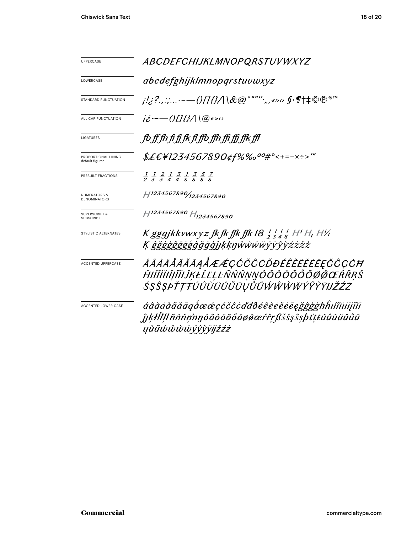| <b>UPPERCASE</b>                               | ABCDEFCHIJKLMNOPQRSTUVWXYZ                                                                                                           |  |  |  |  |  |
|------------------------------------------------|--------------------------------------------------------------------------------------------------------------------------------------|--|--|--|--|--|
| LOWERCASE                                      | abcdefghijklmnopqrstuvwxyz                                                                                                           |  |  |  |  |  |
| STANDARD PUNCTUATION                           | <i>;!¿?.,:;-—()[]{}/</i>  \&@* <sup>***</sup> '*,,«»∞ \$•¶†‡©®™                                                                      |  |  |  |  |  |
| ALL CAP PUNCTUATION                            | $i\dot{z}$ --- ()[1{}/ \@«»0                                                                                                         |  |  |  |  |  |
| LIGATURES                                      | fo ff fh fi fi fk fl ffo ffh ffi ffi ffk ffl                                                                                         |  |  |  |  |  |
| PROPORTIONAL LINING<br>default figures         | \$£€¥1234567890¢f%‰ <sup>ao</sup> #°<+=-×÷>'"                                                                                        |  |  |  |  |  |
| PREBUILT FRACTIONS                             | $\frac{1}{2}$ $\frac{1}{3}$ $\frac{2}{3}$ $\frac{1}{4}$ $\frac{3}{4}$ $\frac{1}{8}$ $\frac{3}{8}$ $\frac{5}{8}$ $\frac{7}{8}$        |  |  |  |  |  |
| <b>NUMERATORS &amp;</b><br><b>DENOMINATORS</b> | $H^{1234567890}$ 1234567890                                                                                                          |  |  |  |  |  |
| <b>SUPERSCRIPT &amp;</b><br><b>SUBSCRIPT</b>   | H <sub>1234567890</sub> H <sub>1234567890</sub>                                                                                      |  |  |  |  |  |
| STYLISTIC ALTERNATES                           | K gggjkkvwxyz fk fk ffk ffk I8 $\frac{1}{2}$ $\frac{1}{3}$ $\frac{1}{4}$ $\frac{1}{8}$ H' H, H'/i<br>K ĝğġģĝğġģĝğġĝjĵķķŋŵŵŵŵýÿŷỳźżžź |  |  |  |  |  |
| <b>ACCENTED UPPERCASE</b>                      | ÁÂÀÄÅÃĂĀĄÅÆÆÇĆČĈÒĐÉÊÈËĔĔĘŎĈÇĊĦ<br>ĤŀĺÎÌĬIĮĨĬIJŖŁĹĽĻĿÑŃŇŅŊÓÔŎŎŐŐŌØŐŒŔŘŖŠ<br>ŚŞŜŞÞŤŢŦÚÛÙÜŬŰŰŪŲŮŨŴŴŴŴŶŶŶŸIJŽŹŻ                          |  |  |  |  |  |
| ACCENTED LOWER CASE                            | áâàäåãããąåææçćčĉcďđðéêèëĕēegğĝģġħĥıíîìiiijĩĭi<br>ĵıkłĺľlŀñńňn'nnóôòöõőōøǿœŕřṛßšśşŝşþťţŧúûùüŭűū<br><i>yůũώŵẁẅýŷỳÿjjžźż</i>            |  |  |  |  |  |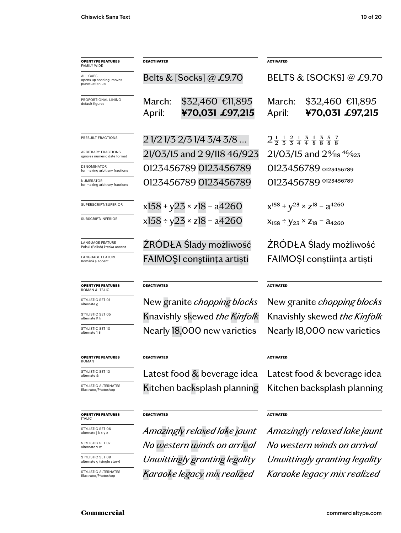| <b>OPENTYPE FEATURES</b><br>FAMILY WIDE               | <b>DEACTIVATED</b> |                                     | <b>ACTIVATED</b><br>BELTS & ISOCKSI @ £9.70                                                                                    |                                      |  |
|-------------------------------------------------------|--------------------|-------------------------------------|--------------------------------------------------------------------------------------------------------------------------------|--------------------------------------|--|
| ALL CAPS<br>opens up spacing, moves<br>punctuation up |                    | Belts & [Socks] @ £9.70             |                                                                                                                                |                                      |  |
| PROPORTIONAL LINING<br>default figures                | March:<br>April:   | \$32,460 €11,895<br>¥70,031 £97,215 | March:<br>April:                                                                                                               | $$32,460$ €ll,895<br>¥70,031 £97,215 |  |
| PREBUILT FRACTIONS                                    |                    | 2 1/2 1/3 2/3 1/4 3/4 3/8           | $2\frac{1}{2}$ $\frac{1}{3}$ $\frac{2}{4}$ $\frac{1}{4}$ $\frac{3}{8}$ $\frac{1}{8}$ $\frac{3}{8}$ $\frac{5}{8}$ $\frac{7}{8}$ |                                      |  |
| ARBITRARY FRACTIONS<br>ignores numeric date format    |                    | 21/03/15 and 2 9/118 46/923         | $21/03/15$ and $2\%$ <sub>118</sub> 46/ <sub>923</sub>                                                                         |                                      |  |
| DENOMINATOR<br>for making arbitrary fractions         |                    | 0123456789 0123456789               | O123456789 0123456789                                                                                                          |                                      |  |
| NUMERATOR<br>for making arbitrary fractions           |                    | 0123456789 0123456789               | 0123456789 0123456789                                                                                                          |                                      |  |
| SUPERSCRIPT/SUPERIOR                                  |                    | $x158 + y23 \times z18 - a4260$     | $x^{158} + y^{23} \times z^{18} - a^{4260}$                                                                                    |                                      |  |
| SUBSCRIPT/INFERIOR                                    |                    | $x158 \div y23 \times z18 - a4260$  | $X_{158} \div Y_{23} \times Z_{18} - A_{4260}$                                                                                 |                                      |  |
| LANGUAGE FEATURE<br>Polski (Polish) kreska accent     |                    | ZRODŁA Slady możliwość              | ŹRÓDŁA Ślady możliwość                                                                                                         |                                      |  |
| <b>LANGUAGE FEATURE</b><br>Română ș accent            |                    | FAIMOȘI conștiința artiști          | FAIMOȘI conștiința artiști                                                                                                     |                                      |  |
| <b>OPENTYPE FEATURES</b><br><b>ROMAN &amp; ITALIC</b> | <b>DEACTIVATED</b> |                                     |                                                                                                                                | <b>ACTIVATED</b>                     |  |
| STYLISTIC SET 01<br>alternate g                       |                    | New granite <i>chopping blocks</i>  | New granite <i>chopping blocks</i>                                                                                             |                                      |  |
| STYLISTIC SET 05<br>alternate K k                     |                    | Knavishly skewed the Kinfolk        | Knavishly skewed the Kinfolk                                                                                                   |                                      |  |

STYLISTIC SET 10

STYLISTIC SET 13<br>alternate &

STYLISTIC ALTERNATES Illustrator/Photoshop

#### **OPENTYPE FEATURES** ITALIC

STYLISTIC SET 06 alternate j k x y z

STYLISTIC SET 07<br>alternate v w

STYLISTIC SET 09 alternate g (single story)

STYLISTIC ALTERNATES Illustrator/Photoshop

**DEACTIVATED**

**DEACTIVATED**

alternate v w *No western winds on arrival No western winds on arrival Unwittingly granting legality Karaoke legacy mix realized Karaoke legacy mix realized*

**ACTIVATED**

Nearly 18,000 new varieties Nearly 18,000 new varieties

Kitchen backsplash planning Kitchen backsplash planning

# **ACTIVATED**

*Amazingly relaxed lake jaunt Amazingly relaxed lake jaunt Unwittingly granting legality*

#### **OPENTYPE FEATURES**  $rac{O}{RC}$

alternate 1 8

# **OPENTYPE FEATURES** ROMAN

Latest food  $&$  beverage idea Latest food  $&$  beverage idea